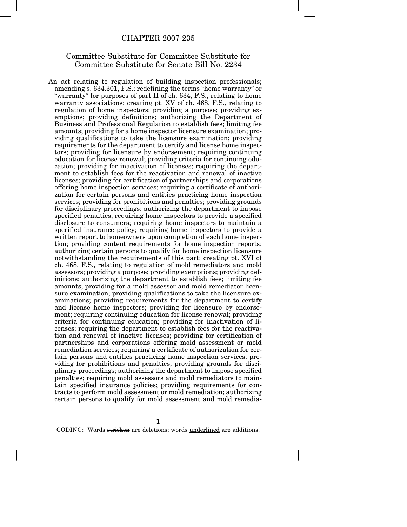## CHAPTER 2007-235

## Committee Substitute for Committee Substitute for Committee Substitute for Senate Bill No. 2234

An act relating to regulation of building inspection professionals; amending s. 634.301, F.S.; redefining the terms "home warranty" or "warranty" for purposes of part II of ch. 634, F.S., relating to home warranty associations; creating pt. XV of ch. 468, F.S., relating to regulation of home inspectors; providing a purpose; providing exemptions; providing definitions; authorizing the Department of Business and Professional Regulation to establish fees; limiting fee amounts; providing for a home inspector licensure examination; providing qualifications to take the licensure examination; providing requirements for the department to certify and license home inspectors; providing for licensure by endorsement; requiring continuing education for license renewal; providing criteria for continuing education; providing for inactivation of licenses; requiring the department to establish fees for the reactivation and renewal of inactive licenses; providing for certification of partnerships and corporations offering home inspection services; requiring a certificate of authorization for certain persons and entities practicing home inspection services; providing for prohibitions and penalties; providing grounds for disciplinary proceedings; authorizing the department to impose specified penalties; requiring home inspectors to provide a specified disclosure to consumers; requiring home inspectors to maintain a specified insurance policy; requiring home inspectors to provide a written report to homeowners upon completion of each home inspection; providing content requirements for home inspection reports; authorizing certain persons to qualify for home inspection licensure notwithstanding the requirements of this part; creating pt. XVI of ch. 468, F.S., relating to regulation of mold remediators and mold assessors; providing a purpose; providing exemptions; providing definitions; authorizing the department to establish fees; limiting fee amounts; providing for a mold assessor and mold remediator licensure examination; providing qualifications to take the licensure examinations; providing requirements for the department to certify and license home inspectors; providing for licensure by endorsement; requiring continuing education for license renewal; providing criteria for continuing education; providing for inactivation of licenses; requiring the department to establish fees for the reactivation and renewal of inactive licenses; providing for certification of partnerships and corporations offering mold assessment or mold remediation services; requiring a certificate of authorization for certain persons and entities practicing home inspection services; providing for prohibitions and penalties; providing grounds for disciplinary proceedings; authorizing the department to impose specified penalties; requiring mold assessors and mold remediators to maintain specified insurance policies; providing requirements for contracts to perform mold assessment or mold remediation; authorizing certain persons to qualify for mold assessment and mold remedia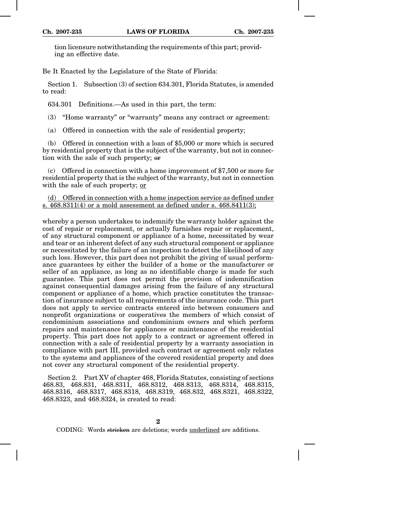tion licensure notwithstanding the requirements of this part; providing an effective date.

Be It Enacted by the Legislature of the State of Florida:

Section 1. Subsection (3) of section 634.301, Florida Statutes, is amended to read:

634.301 Definitions.—As used in this part, the term:

(3) "Home warranty" or "warranty" means any contract or agreement:

(a) Offered in connection with the sale of residential property;

(b) Offered in connection with a loan of \$5,000 or more which is secured by residential property that is the subject of the warranty, but not in connection with the sale of such property; or

(c) Offered in connection with a home improvement of \$7,500 or more for residential property that is the subject of the warranty, but not in connection with the sale of such property; or

(d) Offered in connection with a home inspection service as defined under s.  $468.8311(4)$  or a mold assessment as defined under s.  $468.8411(3)$ ;

whereby a person undertakes to indemnify the warranty holder against the cost of repair or replacement, or actually furnishes repair or replacement, of any structural component or appliance of a home, necessitated by wear and tear or an inherent defect of any such structural component or appliance or necessitated by the failure of an inspection to detect the likelihood of any such loss. However, this part does not prohibit the giving of usual performance guarantees by either the builder of a home or the manufacturer or seller of an appliance, as long as no identifiable charge is made for such guarantee. This part does not permit the provision of indemnification against consequential damages arising from the failure of any structural component or appliance of a home, which practice constitutes the transaction of insurance subject to all requirements of the insurance code. This part does not apply to service contracts entered into between consumers and nonprofit organizations or cooperatives the members of which consist of condominium associations and condominium owners and which perform repairs and maintenance for appliances or maintenance of the residential property. This part does not apply to a contract or agreement offered in connection with a sale of residential property by a warranty association in compliance with part III, provided such contract or agreement only relates to the systems and appliances of the covered residential property and does not cover any structural component of the residential property.

Section 2. Part XV of chapter 468, Florida Statutes, consisting of sections 468.83, 468.831, 468.8311, 468.8312, 468.8313, 468.8314, 468.8315, 468.8316, 468.8317, 468.8318, 468.8319, 468.832, 468.8321, 468.8322, 468.8323, and 468.8324, is created to read: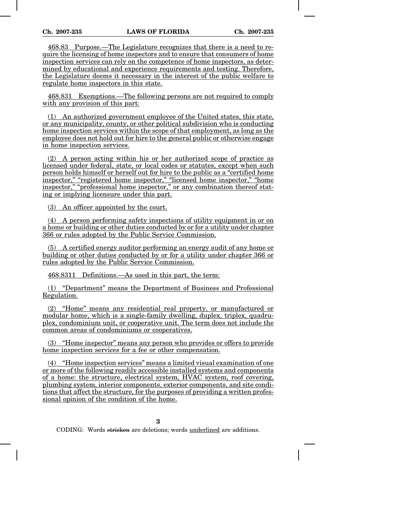468.83 Purpose.—The Legislature recognizes that there is a need to require the licensing of home inspectors and to ensure that consumers of home inspection services can rely on the competence of home inspectors, as determined by educational and experience requirements and testing. Therefore, the Legislature deems it necessary in the interest of the public welfare to regulate home inspectors in this state.

468.831 Exemptions.—The following persons are not required to comply with any provision of this part:

(1) An authorized government employee of the United states, this state, or any municipality, county, or other political subdivision who is conducting home inspection services within the scope of that employment, as long as the employee does not hold out for hire to the general public or otherwise engage in home inspection services.

(2) A person acting within his or her authorized scope of practice as licensed under federal, state, or local codes or statutes, except when such person holds himself or herself out for hire to the public as a "certified home inspector," "registered home inspector," "licensed home inspector," "home inspector," "professional home inspector," or any combination thereof stating or implying licensure under this part.

(3) An officer appointed by the court.

(4) A person performing safety inspections of utility equipment in or on a home or building or other duties conducted by or for a utility under chapter 366 or rules adopted by the Public Service Commission.

(5) A certified energy auditor performing an energy audit of any home or building or other duties conducted by or for a utility under chapter 366 or rules adopted by the Public Service Commission.

468.8311 Definitions.—As used in this part, the term:

(1) "Department" means the Department of Business and Professional Regulation.

(2) "Home" means any residential real property, or manufactured or modular home, which is a single-family dwelling, duplex, triplex, quadruplex, condominium unit, or cooperative unit. The term does not include the common areas of condominiums or cooperatives.

(3) "Home inspector" means any person who provides or offers to provide home inspection services for a fee or other compensation.

(4) "Home inspection services" means a limited visual examination of one or more of the following readily accessible installed systems and components of a home: the structure, electrical system, HVAC system, roof covering, plumbing system, interior components, exterior components, and site conditions that affect the structure, for the purposes of providing a written professional opinion of the condition of the home.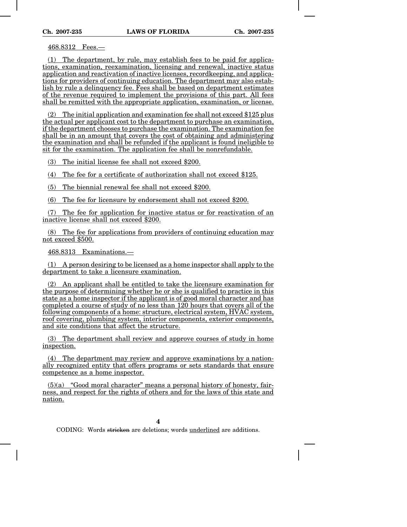468.8312 Fees.—

(1) The department, by rule, may establish fees to be paid for applications, examination, reexamination, licensing and renewal, inactive status application and reactivation of inactive licenses, recordkeeping, and applications for providers of continuing education. The department may also establish by rule a delinquency fee. Fees shall be based on department estimates of the revenue required to implement the provisions of this part. All fees shall be remitted with the appropriate application, examination, or license.

(2) The initial application and examination fee shall not exceed \$125 plus the actual per applicant cost to the department to purchase an examination, if the department chooses to purchase the examination. The examination fee shall be in an amount that covers the cost of obtaining and administering the examination and shall be refunded if the applicant is found ineligible to sit for the examination. The application fee shall be nonrefundable.

(3) The initial license fee shall not exceed \$200.

(4) The fee for a certificate of authorization shall not exceed \$125.

(5) The biennial renewal fee shall not exceed \$200.

(6) The fee for licensure by endorsement shall not exceed \$200.

(7) The fee for application for inactive status or for reactivation of an inactive license shall not exceed \$200.

(8) The fee for applications from providers of continuing education may not exceed \$500.

468.8313 Examinations.—

(1) A person desiring to be licensed as a home inspector shall apply to the department to take a licensure examination.

(2) An applicant shall be entitled to take the licensure examination for the purpose of determining whether he or she is qualified to practice in this state as a home inspector if the applicant is of good moral character and has completed a course of study of no less than 120 hours that covers all of the following components of a home: structure, electrical system, HVAC system, roof covering, plumbing system, interior components, exterior components, and site conditions that affect the structure.

(3) The department shall review and approve courses of study in home inspection.

(4) The department may review and approve examinations by a nationally recognized entity that offers programs or sets standards that ensure competence as a home inspector.

 $(5)(a)$  "Good moral character" means a personal history of honesty, fairness, and respect for the rights of others and for the laws of this state and nation.

**4**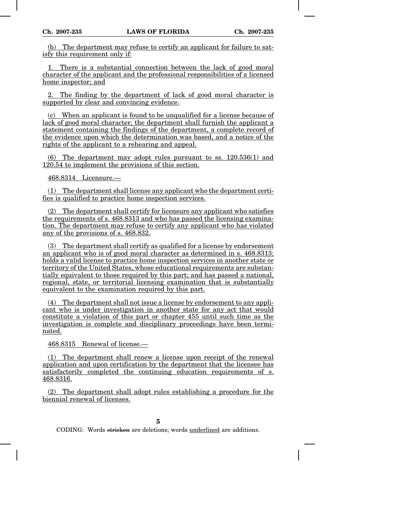(b) The department may refuse to certify an applicant for failure to satisfy this requirement only if:

1. There is a substantial connection between the lack of good moral character of the applicant and the professional responsibilities of a licensed home inspector; and

2. The finding by the department of lack of good moral character is supported by clear and convincing evidence.

(c) When an applicant is found to be unqualified for a license because of lack of good moral character, the department shall furnish the applicant a statement containing the findings of the department, a complete record of the evidence upon which the determination was based, and a notice of the rights of the applicant to a rehearing and appeal.

(6) The department may adopt rules pursuant to ss. 120.536(1) and 120.54 to implement the provisions of this section.

468.8314 Licensure.—

(1) The department shall license any applicant who the department certifies is qualified to practice home inspection services.

(2) The department shall certify for licensure any applicant who satisfies the requirements of s. 468.8313 and who has passed the licensing examination. The department may refuse to certify any applicant who has violated any of the provisions of s. 468.832.

(3) The department shall certify as qualified for a license by endorsement an applicant who is of good moral character as determined in s. 468.8313; holds a valid license to practice home inspection services in another state or territory of the United States, whose educational requirements are substantially equivalent to those required by this part; and has passed a national, regional, state, or territorial licensing examination that is substantially equivalent to the examination required by this part.

(4) The department shall not issue a license by endorsement to any applicant who is under investigation in another state for any act that would constitute a violation of this part or chapter 455 until such time as the investigation is complete and disciplinary proceedings have been terminated.

468.8315 Renewal of license.—

(1) The department shall renew a license upon receipt of the renewal application and upon certification by the department that the licensee has satisfactorily completed the continuing education requirements of s. 468.8316.

(2) The department shall adopt rules establishing a procedure for the biennial renewal of licenses.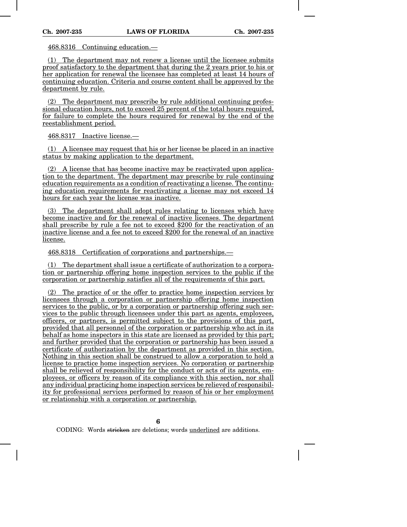468.8316 Continuing education.—

(1) The department may not renew a license until the licensee submits proof satisfactory to the department that during the 2 years prior to his or her application for renewal the licensee has completed at least 14 hours of continuing education. Criteria and course content shall be approved by the department by rule.

(2) The department may prescribe by rule additional continuing professional education hours, not to exceed 25 percent of the total hours required, for failure to complete the hours required for renewal by the end of the reestablishment period.

468.8317 Inactive license.—

(1) A licensee may request that his or her license be placed in an inactive status by making application to the department.

(2) A license that has become inactive may be reactivated upon application to the department. The department may prescribe by rule continuing education requirements as a condition of reactivating a license. The continuing education requirements for reactivating a license may not exceed 14 hours for each year the license was inactive.

(3) The department shall adopt rules relating to licenses which have become inactive and for the renewal of inactive licenses. The department shall prescribe by rule a fee not to exceed \$200 for the reactivation of an inactive license and a fee not to exceed \$200 for the renewal of an inactive license.

468.8318 Certification of corporations and partnerships.—

(1) The department shall issue a certificate of authorization to a corporation or partnership offering home inspection services to the public if the corporation or partnership satisfies all of the requirements of this part.

(2) The practice of or the offer to practice home inspection services by licensees through a corporation or partnership offering home inspection services to the public, or by a corporation or partnership offering such services to the public through licensees under this part as agents, employees, officers, or partners, is permitted subject to the provisions of this part, provided that all personnel of the corporation or partnership who act in its behalf as home inspectors in this state are licensed as provided by this part; and further provided that the corporation or partnership has been issued a certificate of authorization by the department as provided in this section. Nothing in this section shall be construed to allow a corporation to hold a license to practice home inspection services. No corporation or partnership shall be relieved of responsibility for the conduct or acts of its agents, employees, or officers by reason of its compliance with this section, nor shall any individual practicing home inspection services be relieved of responsibility for professional services performed by reason of his or her employment or relationship with a corporation or partnership.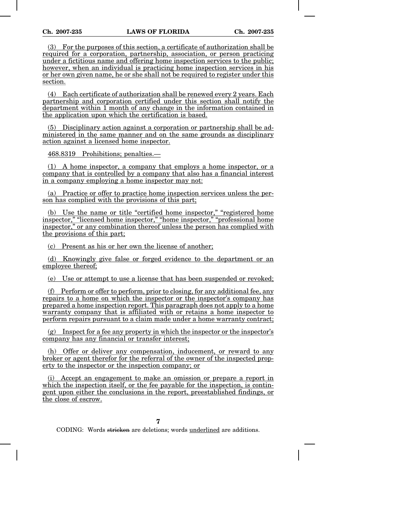(3) For the purposes of this section, a certificate of authorization shall be required for a corporation, partnership, association, or person practicing under a fictitious name and offering home inspection services to the public; however, when an individual is practicing home inspection services in his or her own given name, he or she shall not be required to register under this section.

(4) Each certificate of authorization shall be renewed every 2 years. Each partnership and corporation certified under this section shall notify the department within 1 month of any change in the information contained in the application upon which the certification is based.

(5) Disciplinary action against a corporation or partnership shall be administered in the same manner and on the same grounds as disciplinary action against a licensed home inspector.

468.8319 Prohibitions; penalties.—

(1) A home inspector, a company that employs a home inspector, or a company that is controlled by a company that also has a financial interest in a company employing a home inspector may not:

(a) Practice or offer to practice home inspection services unless the person has complied with the provisions of this part;

(b) Use the name or title "certified home inspector," "registered home inspector," "licensed home inspector," "home inspector," "professional home inspector," or any combination thereof unless the person has complied with the provisions of this part;

(c) Present as his or her own the license of another;

(d) Knowingly give false or forged evidence to the department or an employee thereof;

(e) Use or attempt to use a license that has been suspended or revoked;

(f) Perform or offer to perform, prior to closing, for any additional fee, any repairs to a home on which the inspector or the inspector's company has prepared a home inspection report. This paragraph does not apply to a home warranty company that is affiliated with or retains a home inspector to perform repairs pursuant to a claim made under a home warranty contract;

 $(g)$  Inspect for a fee any property in which the inspector or the inspector's company has any financial or transfer interest;

(h) Offer or deliver any compensation, inducement, or reward to any broker or agent therefor for the referral of the owner of the inspected property to the inspector or the inspection company; or

(i) Accept an engagement to make an omission or prepare a report in which the inspection itself, or the fee payable for the inspection, is contingent upon either the conclusions in the report, preestablished findings, or the close of escrow.

**7**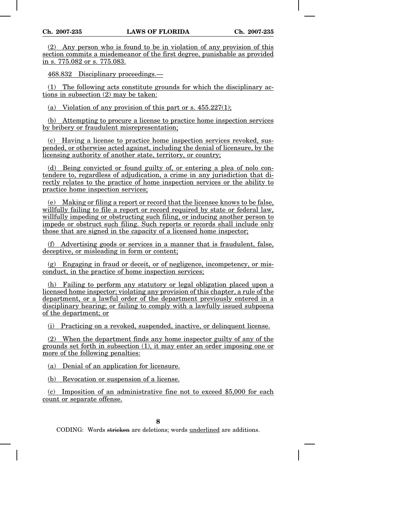(2) Any person who is found to be in violation of any provision of this section commits a misdemeanor of the first degree, punishable as provided in s. 775.082 or s. 775.083.

468.832 Disciplinary proceedings.—

(1) The following acts constitute grounds for which the disciplinary actions in subsection (2) may be taken:

(a) Violation of any provision of this part or s.  $455.227(1)$ :

(b) Attempting to procure a license to practice home inspection services by bribery or fraudulent misrepresentation;

(c) Having a license to practice home inspection services revoked, suspended, or otherwise acted against, including the denial of licensure, by the licensing authority of another state, territory, or country;

(d) Being convicted or found guilty of, or entering a plea of nolo contendere to, regardless of adjudication, a crime in any jurisdiction that directly relates to the practice of home inspection services or the ability to practice home inspection services;

(e) Making or filing a report or record that the licensee knows to be false, willfully failing to file a report or record required by state or federal law, willfully impeding or obstructing such filing, or inducing another person to impede or obstruct such filing. Such reports or records shall include only those that are signed in the capacity of a licensed home inspector;

(f) Advertising goods or services in a manner that is fraudulent, false, deceptive, or misleading in form or content;

(g) Engaging in fraud or deceit, or of negligence, incompetency, or misconduct, in the practice of home inspection services;

(h) Failing to perform any statutory or legal obligation placed upon a licensed home inspector; violating any provision of this chapter, a rule of the department, or a lawful order of the department previously entered in a disciplinary hearing; or failing to comply with a lawfully issued subpoena of the department; or

(i) Practicing on a revoked, suspended, inactive, or delinquent license.

(2) When the department finds any home inspector guilty of any of the grounds set forth in subsection (1), it may enter an order imposing one or more of the following penalties:

(a) Denial of an application for licensure.

(b) Revocation or suspension of a license.

(c) Imposition of an administrative fine not to exceed \$5,000 for each count or separate offense.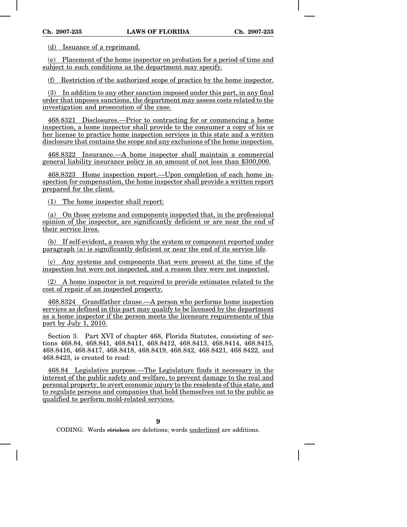(d) Issuance of a reprimand.

(e) Placement of the home inspector on probation for a period of time and subject to such conditions as the department may specify.

(f) Restriction of the authorized scope of practice by the home inspector.

(3) In addition to any other sanction imposed under this part, in any final order that imposes sanctions, the department may assess costs related to the investigation and prosecution of the case.

468.8321 Disclosures.—Prior to contracting for or commencing a home inspection, a home inspector shall provide to the consumer a copy of his or her license to practice home inspection services in this state and a written disclosure that contains the scope and any exclusions of the home inspection.

468.8322 Insurance.—A home inspector shall maintain a commercial general liability insurance policy in an amount of not less than \$300,000.

468.8323 Home inspection report.—Upon completion of each home inspection for compensation, the home inspector shall provide a written report prepared for the client.

(1) The home inspector shall report:

(a) On those systems and components inspected that, in the professional opinion of the inspector, are significantly deficient or are near the end of their service lives.

(b) If self-evident, a reason why the system or component reported under paragraph (a) is significantly deficient or near the end of its service life.

(c) Any systems and components that were present at the time of the inspection but were not inspected, and a reason they were not inspected.

(2) A home inspector is not required to provide estimates related to the cost of repair of an inspected property.

468.8324 Grandfather clause.—A person who performs home inspection services as defined in this part may qualify to be licensed by the department as a home inspector if the person meets the licensure requirements of this part by July 1, 2010.

Section 3. Part XVI of chapter 468, Florida Statutes, consisting of sections 468.84, 468.841, 468.8411, 468.8412, 468.8413, 468.8414, 468.8415, 468.8416, 468.8417, 468.8418, 468.8419, 468.842, 468.8421, 468.8422, and 468.8423, is created to read:

468.84 Legislative purpose.—The Legislature finds it necessary in the interest of the public safety and welfare, to prevent damage to the real and personal property, to avert economic injury to the residents of this state, and to regulate persons and companies that hold themselves out to the public as qualified to perform mold-related services.

**9**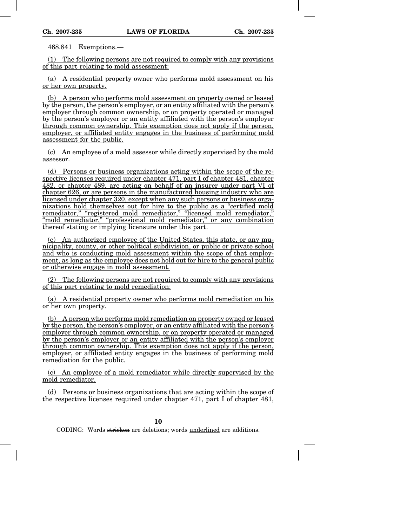468.841 Exemptions.—

(1) The following persons are not required to comply with any provisions of this part relating to mold assessment:

(a) A residential property owner who performs mold assessment on his or her own property.

(b) A person who performs mold assessment on property owned or leased by the person, the person's employer, or an entity affiliated with the person's employer through common ownership, or on property operated or managed by the person's employer or an entity affiliated with the person's employer through common ownership. This exemption does not apply if the person, employer, or affiliated entity engages in the business of performing mold assessment for the public.

(c) An employee of a mold assessor while directly supervised by the mold assessor.

(d) Persons or business organizations acting within the scope of the respective licenses required under chapter 471, part I of chapter 481, chapter 482, or chapter 489, are acting on behalf of an insurer under part VI of chapter 626, or are persons in the manufactured housing industry who are licensed under chapter 320, except when any such persons or business organizations hold themselves out for hire to the public as a "certified mold remediator," "registered mold remediator," "licensed mold remediator," "mold remediator," "professional mold remediator," or any combination thereof stating or implying licensure under this part.

(e) An authorized employee of the United States, this state, or any municipality, county, or other political subdivision, or public or private school and who is conducting mold assessment within the scope of that employment, as long as the employee does not hold out for hire to the general public or otherwise engage in mold assessment.

(2) The following persons are not required to comply with any provisions of this part relating to mold remediation:

(a) A residential property owner who performs mold remediation on his or her own property.

(b) A person who performs mold remediation on property owned or leased by the person, the person's employer, or an entity affiliated with the person's employer through common ownership, or on property operated or managed by the person's employer or an entity affiliated with the person's employer through common ownership. This exemption does not apply if the person, employer, or affiliated entity engages in the business of performing mold remediation for the public.

(c) An employee of a mold remediator while directly supervised by the mold remediator.

(d) Persons or business organizations that are acting within the scope of the respective licenses required under chapter 471, part I of chapter 481,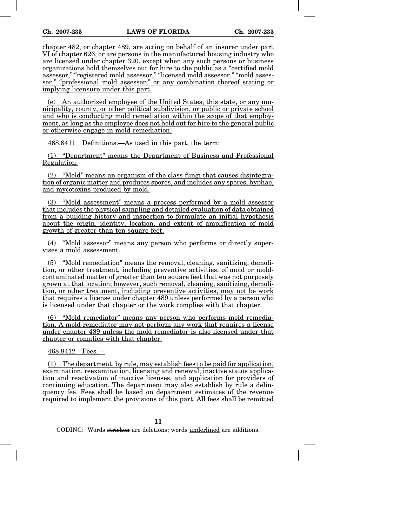chapter 482, or chapter 489, are acting on behalf of an insurer under part VI of chapter 626, or are persons in the manufactured housing industry who are licensed under chapter 320, except when any such persons or business organizations hold themselves out for hire to the public as a "certified mold assessor," "registered mold assessor," "licensed mold assessor," "mold assessor," "professional mold assessor," or any combination thereof stating or implying licensure under this part.

(e) An authorized employee of the United States, this state, or any municipality, county, or other political subdivision, or public or private school and who is conducting mold remediation within the scope of that employment, as long as the employee does not hold out for hire to the general public or otherwise engage in mold remediation.

468.8411 Definitions.—As used in this part, the term:

(1) "Department" means the Department of Business and Professional Regulation.

(2) "Mold" means an organism of the class fungi that causes disintegration of organic matter and produces spores, and includes any spores, hyphae, and mycotoxins produced by mold.

(3) "Mold assessment" means a process performed by a mold assessor that includes the physical sampling and detailed evaluation of data obtained from a building history and inspection to formulate an initial hypothesis about the origin, identity, location, and extent of amplification of mold growth of greater than ten square feet.

(4) "Mold assessor" means any person who performs or directly supervises a mold assessment.

(5) "Mold remediation" means the removal, cleaning, sanitizing, demolition, or other treatment, including preventive activities, of mold or moldcontaminated matter of greater than ten square feet that was not purposely grown at that location; however, such removal, cleaning, sanitizing, demolition, or other treatment, including preventive activities, may not be work that requires a license under chapter 489 unless performed by a person who is licensed under that chapter or the work complies with that chapter.

(6) "Mold remediator" means any person who performs mold remediation. A mold remediator may not perform any work that requires a license under chapter 489 unless the mold remediator is also licensed under that chapter or complies with that chapter.

468.8412 Fees.—

(1) The department, by rule, may establish fees to be paid for application, examination, reexamination, licensing and renewal, inactive status application and reactivation of inactive licenses, and application for providers of continuing education. The department may also establish by rule a delinquency fee. Fees shall be based on department estimates of the revenue required to implement the provisions of this part. All fees shall be remitted

**11**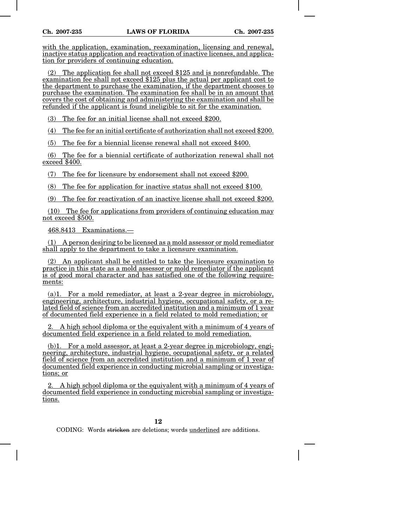with the application, examination, reexamination, licensing and renewal, inactive status application and reactivation of inactive licenses, and application for providers of continuing education.

(2) The application fee shall not exceed \$125 and is nonrefundable. The examination fee shall not exceed \$125 plus the actual per applicant cost to the department to purchase the examination, if the department chooses to purchase the examination. The examination fee shall be in an amount that covers the cost of obtaining and administering the examination and shall be refunded if the applicant is found ineligible to sit for the examination.

(3) The fee for an initial license shall not exceed \$200.

(4) The fee for an initial certificate of authorization shall not exceed \$200.

(5) The fee for a biennial license renewal shall not exceed \$400.

(6) The fee for a biennial certificate of authorization renewal shall not exceed \$400.

(7) The fee for licensure by endorsement shall not exceed \$200.

(8) The fee for application for inactive status shall not exceed \$100.

(9) The fee for reactivation of an inactive license shall not exceed \$200.

(10) The fee for applications from providers of continuing education may not exceed \$500.

468.8413 Examinations.—

(1) A person desiring to be licensed as a mold assessor or mold remediator shall apply to the department to take a licensure examination.

(2) An applicant shall be entitled to take the licensure examination to practice in this state as a mold assessor or mold remediator if the applicant is of good moral character and has satisfied one of the following requirements:

(a)1. For a mold remediator, at least a 2-year degree in microbiology, engineering, architecture, industrial hygiene, occupational safety, or a related field of science from an accredited institution and a minimum of 1 year of documented field experience in a field related to mold remediation; or

2. A high school diploma or the equivalent with a minimum of 4 years of documented field experience in a field related to mold remediation.

(b)1. For a mold assessor, at least a 2-year degree in microbiology, engineering, architecture, industrial hygiene, occupational safety, or a related field of science from an accredited institution and a minimum of 1 year of documented field experience in conducting microbial sampling or investigations; or

2. A high school diploma or the equivalent with a minimum of 4 years of documented field experience in conducting microbial sampling or investigations.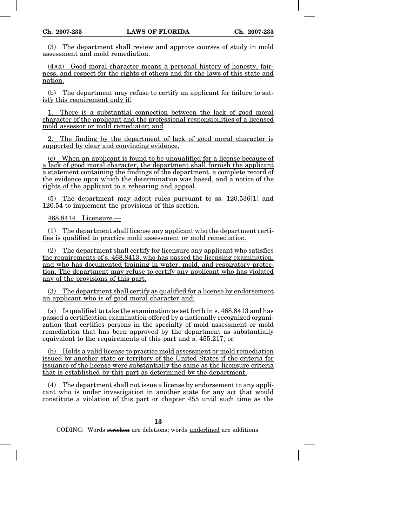(3) The department shall review and approve courses of study in mold assessment and mold remediation.

 $(4)(a)$  Good moral character means a personal history of honesty, fairness, and respect for the rights of others and for the laws of this state and nation.

(b) The department may refuse to certify an applicant for failure to satisfy this requirement only if:

There is a substantial connection between the lack of good moral character of the applicant and the professional responsibilities of a licensed mold assessor or mold remediator; and

The finding by the department of lack of good moral character is supported by clear and convincing evidence.

(c) When an applicant is found to be unqualified for a license because of a lack of good moral character, the department shall furnish the applicant a statement containing the findings of the department, a complete record of the evidence upon which the determination was based, and a notice of the rights of the applicant to a rehearing and appeal.

(5) The department may adopt rules pursuant to ss. 120.536(1) and 120.54 to implement the provisions of this section.

468.8414 Licensure.—

(1) The department shall license any applicant who the department certifies is qualified to practice mold assessment or mold remediation.

(2) The department shall certify for licensure any applicant who satisfies the requirements of s. 468.8413, who has passed the licensing examination, and who has documented training in water, mold, and respiratory protection. The department may refuse to certify any applicant who has violated any of the provisions of this part.

(3) The department shall certify as qualified for a license by endorsement an applicant who is of good moral character and:

(a) Is qualified to take the examination as set forth in s. 468.8413 and has passed a certification examination offered by a nationally recognized organization that certifies persons in the specialty of mold assessment or mold remediation that has been approved by the department as substantially equivalent to the requirements of this part and s. 455.217; or

(b) Holds a valid license to practice mold assessment or mold remediation issued by another state or territory of the United States if the criteria for issuance of the license were substantially the same as the licensure criteria that is established by this part as determined by the department.

(4) The department shall not issue a license by endorsement to any applicant who is under investigation in another state for any act that would constitute a violation of this part or chapter 455 until such time as the

**13**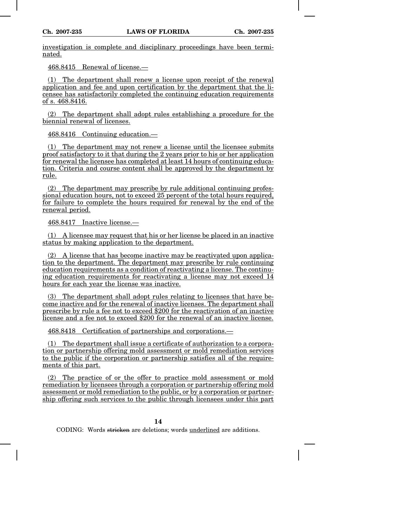investigation is complete and disciplinary proceedings have been terminated.

468.8415 Renewal of license.—

(1) The department shall renew a license upon receipt of the renewal application and fee and upon certification by the department that the licensee has satisfactorily completed the continuing education requirements of s. 468.8416.

(2) The department shall adopt rules establishing a procedure for the biennial renewal of licenses.

468.8416 Continuing education.—

(1) The department may not renew a license until the licensee submits proof satisfactory to it that during the 2 years prior to his or her application for renewal the licensee has completed at least 14 hours of continuing education. Criteria and course content shall be approved by the department by rule.

(2) The department may prescribe by rule additional continuing professional education hours, not to exceed 25 percent of the total hours required, for failure to complete the hours required for renewal by the end of the renewal period.

468.8417 Inactive license.—

(1) A licensee may request that his or her license be placed in an inactive status by making application to the department.

(2) A license that has become inactive may be reactivated upon application to the department. The department may prescribe by rule continuing education requirements as a condition of reactivating a license. The continuing education requirements for reactivating a license may not exceed 14 hours for each year the license was inactive.

(3) The department shall adopt rules relating to licenses that have become inactive and for the renewal of inactive licenses. The department shall prescribe by rule a fee not to exceed \$200 for the reactivation of an inactive license and a fee not to exceed \$200 for the renewal of an inactive license.

468.8418 Certification of partnerships and corporations.—

(1) The department shall issue a certificate of authorization to a corporation or partnership offering mold assessment or mold remediation services to the public if the corporation or partnership satisfies all of the requirements of this part.

(2) The practice of or the offer to practice mold assessment or mold remediation by licensees through a corporation or partnership offering mold assessment or mold remediation to the public, or by a corporation or partnership offering such services to the public through licensees under this part

**14**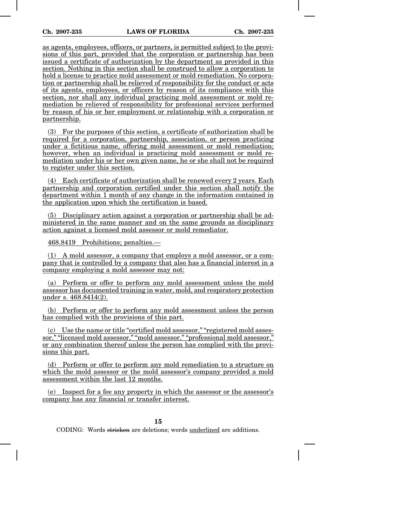as agents, employees, officers, or partners, is permitted subject to the provisions of this part, provided that the corporation or partnership has been issued a certificate of authorization by the department as provided in this section. Nothing in this section shall be construed to allow a corporation to hold a license to practice mold assessment or mold remediation. No corporation or partnership shall be relieved of responsibility for the conduct or acts of its agents, employees, or officers by reason of its compliance with this section, nor shall any individual practicing mold assessment or mold remediation be relieved of responsibility for professional services performed by reason of his or her employment or relationship with a corporation or partnership.

(3) For the purposes of this section, a certificate of authorization shall be required for a corporation, partnership, association, or person practicing under a fictitious name, offering mold assessment or mold remediation; however, when an individual is practicing mold assessment or mold remediation under his or her own given name, he or she shall not be required to register under this section.

(4) Each certificate of authorization shall be renewed every 2 years. Each partnership and corporation certified under this section shall notify the department within 1 month of any change in the information contained in the application upon which the certification is based.

(5) Disciplinary action against a corporation or partnership shall be administered in the same manner and on the same grounds as disciplinary action against a licensed mold assessor or mold remediator.

468.8419 Prohibitions; penalties.—

(1) A mold assessor, a company that employs a mold assessor, or a company that is controlled by a company that also has a financial interest in a company employing a mold assessor may not:

(a) Perform or offer to perform any mold assessment unless the mold assessor has documented training in water, mold, and respiratory protection under s. 468.8414(2).

(b) Perform or offer to perform any mold assessment unless the person has complied with the provisions of this part.

(c) Use the name or title "certified mold assessor," "registered mold assessor," "licensed mold assessor," "mold assessor," "professional mold assessor," or any combination thereof unless the person has complied with the provisions this part.

(d) Perform or offer to perform any mold remediation to a structure on which the mold assessor or the mold assessor's company provided a mold assessment within the last 12 months.

(e) Inspect for a fee any property in which the assessor or the assessor's company has any financial or transfer interest.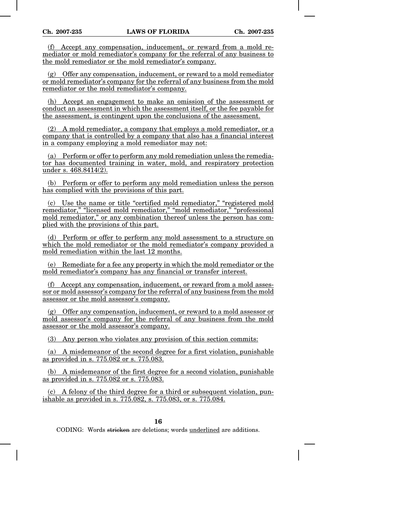(f) Accept any compensation, inducement, or reward from a mold remediator or mold remediator's company for the referral of any business to the mold remediator or the mold remediator's company.

(g) Offer any compensation, inducement, or reward to a mold remediator or mold remediator's company for the referral of any business from the mold remediator or the mold remediator's company.

(h) Accept an engagement to make an omission of the assessment or conduct an assessment in which the assessment itself, or the fee payable for the assessment, is contingent upon the conclusions of the assessment.

(2) A mold remediator, a company that employs a mold remediator, or a company that is controlled by a company that also has a financial interest in a company employing a mold remediator may not:

(a) Perform or offer to perform any mold remediation unless the remediator has documented training in water, mold, and respiratory protection under s. 468.8414(2).

(b) Perform or offer to perform any mold remediation unless the person has complied with the provisions of this part.

(c) Use the name or title "certified mold remediator," "registered mold remediator," "licensed mold remediator," "mold remediator," "professional mold remediator," or any combination thereof unless the person has complied with the provisions of this part.

(d) Perform or offer to perform any mold assessment to a structure on which the mold remediator or the mold remediator's company provided a mold remediation within the last 12 months.

(e) Remediate for a fee any property in which the mold remediator or the mold remediator's company has any financial or transfer interest.

(f) Accept any compensation, inducement, or reward from a mold assessor or mold assessor's company for the referral of any business from the mold assessor or the mold assessor's company.

(g) Offer any compensation, inducement, or reward to a mold assessor or mold assessor's company for the referral of any business from the mold assessor or the mold assessor's company.

(3) Any person who violates any provision of this section commits:

(a) A misdemeanor of the second degree for a first violation, punishable as provided in s. 775.082 or s. 775.083.

(b) A misdemeanor of the first degree for a second violation, punishable as provided in s. 775.082 or s. 775.083.

 $(c)$  A felony of the third degree for a third or subsequent violation, punishable as provided in s. 775.082, s. 775.083, or s. 775.084.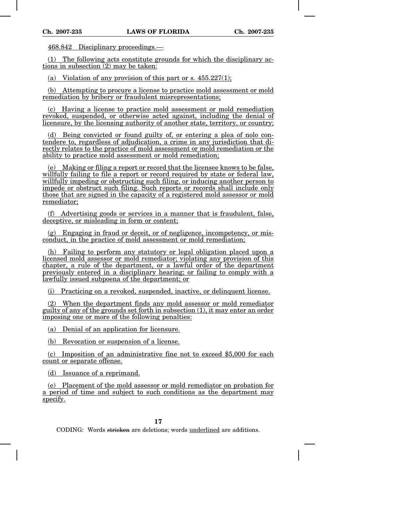468.842 Disciplinary proceedings.—

(1) The following acts constitute grounds for which the disciplinary actions in subsection (2) may be taken:

(a) Violation of any provision of this part or s.  $455.227(1)$ ;

(b) Attempting to procure a license to practice mold assessment or mold remediation by bribery or fraudulent misrepresentations;

(c) Having a license to practice mold assessment or mold remediation revoked, suspended, or otherwise acted against, including the denial of licensure, by the licensing authority of another state, territory, or country;

(d) Being convicted or found guilty of, or entering a plea of nolo contendere to, regardless of adjudication, a crime in any jurisdiction that directly relates to the practice of mold assessment or mold remediation or the ability to practice mold assessment or mold remediation;

(e) Making or filing a report or record that the licensee knows to be false, willfully failing to file a report or record required by state or federal law, willfully impeding or obstructing such filing, or inducing another person to impede or obstruct such filing. Such reports or records shall include only those that are signed in the capacity of a registered mold assessor or mold remediator;

(f) Advertising goods or services in a manner that is fraudulent, false, deceptive, or misleading in form or content;

(g) Engaging in fraud or deceit, or of negligence, incompetency, or misconduct, in the practice of mold assessment or mold remediation;

(h) Failing to perform any statutory or legal obligation placed upon a licensed mold assessor or mold remediator; violating any provision of this chapter, a rule of the department, or a lawful order of the department previously entered in a disciplinary hearing; or failing to comply with a lawfully issued subpoena of the department; or

(i) Practicing on a revoked, suspended, inactive, or delinquent license.

(2) When the department finds any mold assessor or mold remediator guilty of any of the grounds set forth in subsection (1), it may enter an order imposing one or more of the following penalties:

(a) Denial of an application for licensure.

(b) Revocation or suspension of a license.

(c) Imposition of an administrative fine not to exceed \$5,000 for each count or separate offense.

(d) Issuance of a reprimand.

(e) Placement of the mold assessor or mold remediator on probation for a period of time and subject to such conditions as the department may specify.

**17**